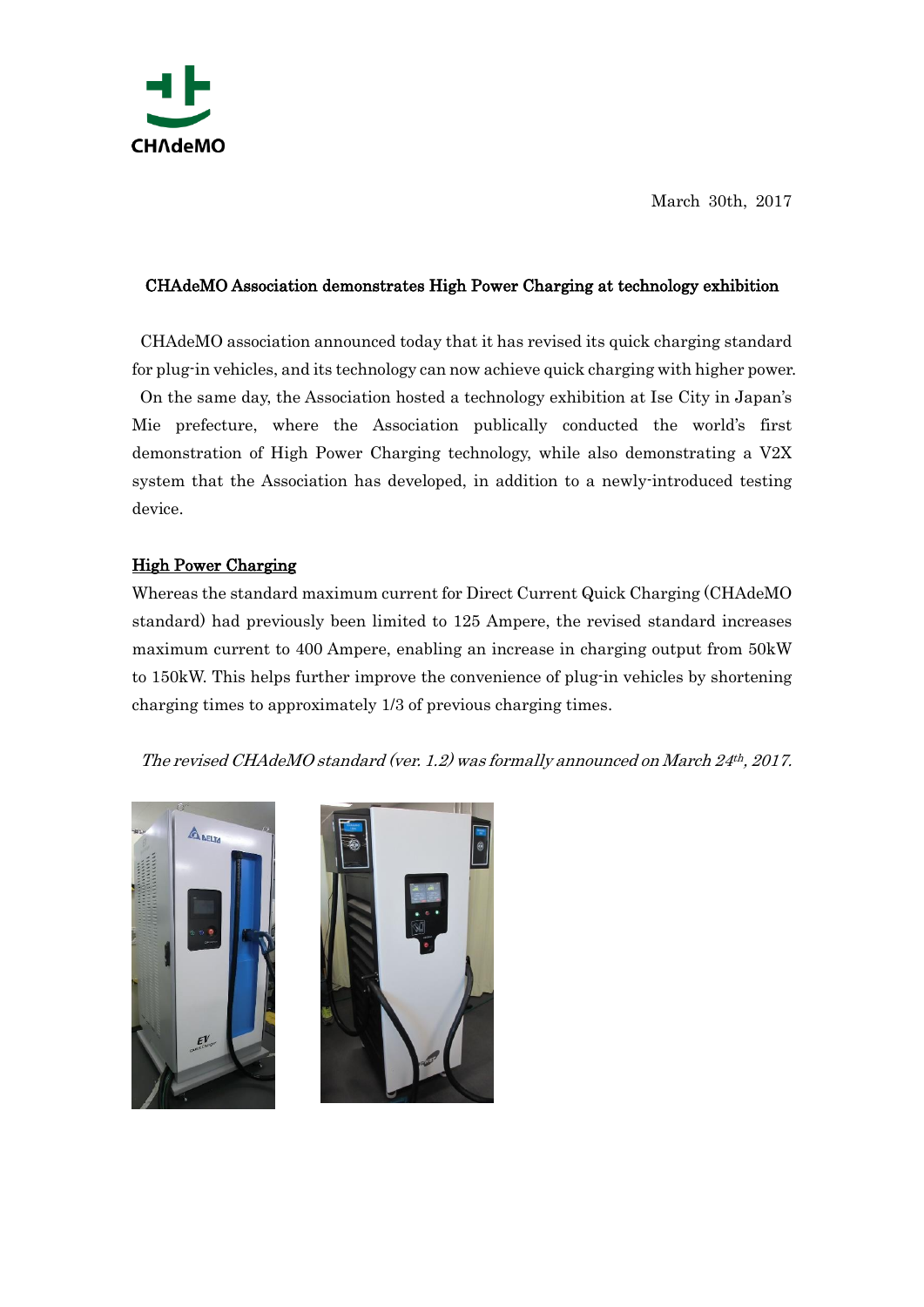

March 30th, 2017

## CHAdeMO Association demonstrates High Power Charging at technology exhibition

CHAdeMO association announced today that it has revised its quick charging standard for plug-in vehicles, and its technology can now achieve quick charging with higher power. On the same day, the Association hosted a technology exhibition at Ise City in Japan's Mie prefecture, where the Association publically conducted the world's first demonstration of High Power Charging technology, while also demonstrating a V2X system that the Association has developed, in addition to a newly-introduced testing device.

## High Power Charging

Whereas the standard maximum current for Direct Current Quick Charging (CHAdeMO standard) had previously been limited to 125 Ampere, the revised standard increases maximum current to 400 Ampere, enabling an increase in charging output from 50kW to 150kW. This helps further improve the convenience of plug-in vehicles by shortening charging times to approximately 1/3 of previous charging times.

The revised CHAdeMO standard (ver. 1.2) was formally announced on March 24th, 2017.